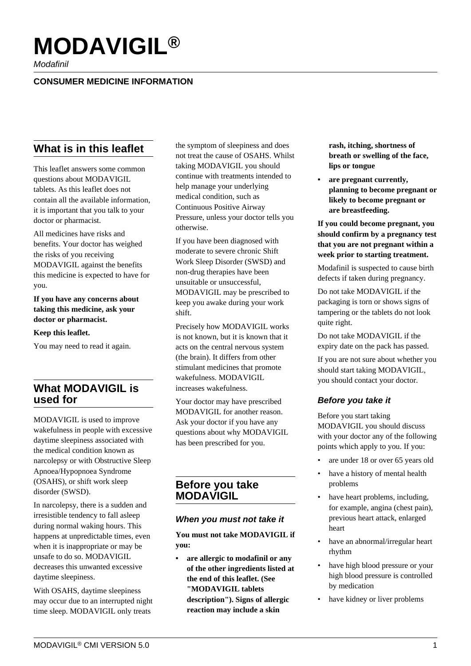# **MODAVIGIL®**

Modafinil

#### **CONSUMER MEDICINE INFORMATION**

## **What is in this leaflet**

This leaflet answers some common questions about MODAVIGIL tablets. As this leaflet does not contain all the available information, it is important that you talk to your doctor or pharmacist.

All medicines have risks and benefits. Your doctor has weighed the risks of you receiving MODAVIGIL against the benefits this medicine is expected to have for you.

**If you have any concerns about taking this medicine, ask your doctor or pharmacist.**

#### **Keep this leaflet.**

You may need to read it again.

### **What MODAVIGIL is used for**

MODAVIGIL is used to improve wakefulness in people with excessive daytime sleepiness associated with the medical condition known as narcolepsy or with Obstructive Sleep Apnoea/Hypopnoea Syndrome (OSAHS), or shift work sleep disorder (SWSD).

In narcolepsy, there is a sudden and irresistible tendency to fall asleep during normal waking hours. This happens at unpredictable times, even when it is inappropriate or may be unsafe to do so. MODAVIGIL decreases this unwanted excessive daytime sleepiness.

With OSAHS, daytime sleepiness may occur due to an interrupted night time sleep. MODAVIGIL only treats

the symptom of sleepiness and does not treat the cause of OSAHS. Whilst taking MODAVIGIL you should continue with treatments intended to help manage your underlying medical condition, such as Continuous Positive Airway Pressure, unless your doctor tells you otherwise.

If you have been diagnosed with moderate to severe chronic Shift Work Sleep Disorder (SWSD) and non-drug therapies have been unsuitable or unsuccessful, MODAVIGIL may be prescribed to keep you awake during your work shift.

Precisely how MODAVIGIL works is not known, but it is known that it acts on the central nervous system (the brain). It differs from other stimulant medicines that promote wakefulness. MODAVIGIL increases wakefulness.

Your doctor may have prescribed MODAVIGIL for another reason. Ask your doctor if you have any questions about why MODAVIGIL has been prescribed for you.

#### **Before you take MODAVIGIL**

#### **When you must not take it**

**You must not take MODAVIGIL if you:**

**• are allergic to modafinil or any of the other ingredients listed at the end of this leaflet. (See "MODAVIGIL tablets description"). Signs of allergic reaction may include a skin**

**rash, itching, shortness of breath or swelling of the face, lips or tongue**

**• are pregnant currently, planning to become pregnant or likely to become pregnant or are breastfeeding.**

**If you could become pregnant, you should confirm by a pregnancy test that you are not pregnant within a week prior to starting treatment.**

Modafinil is suspected to cause birth defects if taken during pregnancy.

Do not take MODAVIGIL if the packaging is torn or shows signs of tampering or the tablets do not look quite right.

Do not take MODAVIGIL if the expiry date on the pack has passed.

If you are not sure about whether you should start taking MODAVIGIL, you should contact your doctor.

#### **Before you take it**

Before you start taking MODAVIGIL you should discuss with your doctor any of the following points which apply to you. If you:

- are under 18 or over 65 years old
- have a history of mental health problems
- have heart problems, including, for example, angina (chest pain), previous heart attack, enlarged heart
- have an abnormal/irregular heart rhythm
- have high blood pressure or your high blood pressure is controlled by medication
- have kidney or liver problems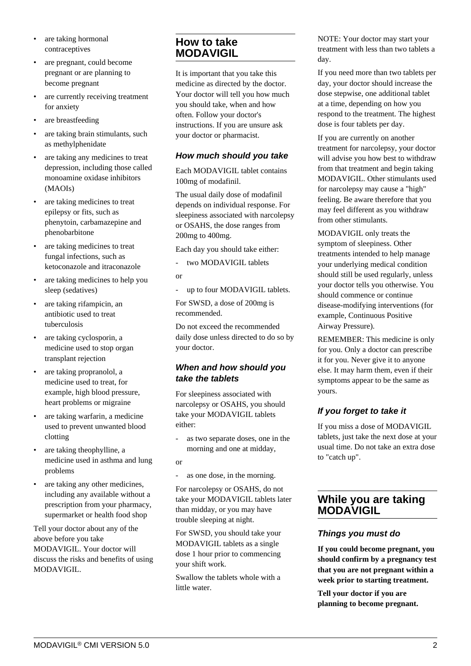- are taking hormonal contraceptives
- are pregnant, could become pregnant or are planning to become pregnant
- are currently receiving treatment for anxiety
- are breastfeeding
- are taking brain stimulants, such as methylphenidate
- are taking any medicines to treat depression, including those called monoamine oxidase inhibitors (MAOIs)
- are taking medicines to treat epilepsy or fits, such as phenytoin, carbamazepine and phenobarbitone
- are taking medicines to treat fungal infections, such as ketoconazole and itraconazole
- are taking medicines to help you sleep (sedatives)
- are taking rifampicin, an antibiotic used to treat tuberculosis
- are taking cyclosporin, a medicine used to stop organ transplant rejection
- are taking propranolol, a medicine used to treat, for example, high blood pressure, heart problems or migraine
- are taking warfarin, a medicine used to prevent unwanted blood clotting
- are taking theophylline, a medicine used in asthma and lung problems
- are taking any other medicines, including any available without a prescription from your pharmacy, supermarket or health food shop

Tell your doctor about any of the above before you take MODAVIGIL. Your doctor will discuss the risks and benefits of using MODAVIGIL.

### **How to take MODAVIGIL**

It is important that you take this medicine as directed by the doctor. Your doctor will tell you how much you should take, when and how often. Follow your doctor's instructions. If you are unsure ask your doctor or pharmacist.

#### **How much should you take**

Each MODAVIGIL tablet contains 100mg of modafinil.

The usual daily dose of modafinil depends on individual response. For sleepiness associated with narcolepsy or OSAHS, the dose ranges from 200mg to 400mg.

Each day you should take either:

- two MODAVIGIL tablets

or

- up to four MODAVIGIL tablets.

For SWSD, a dose of 200mg is recommended.

Do not exceed the recommended daily dose unless directed to do so by your doctor.

#### **When and how should you take the tablets**

For sleepiness associated with narcolepsy or OSAHS, you should take your MODAVIGIL tablets either:

- as two separate doses, one in the morning and one at midday,
- or

- as one dose, in the morning.

For narcolepsy or OSAHS, do not take your MODAVIGIL tablets later than midday, or you may have trouble sleeping at night.

For SWSD, you should take your MODAVIGIL tablets as a single dose 1 hour prior to commencing your shift work.

Swallow the tablets whole with a little water.

NOTE: Your doctor may start your treatment with less than two tablets a day.

If you need more than two tablets per day, your doctor should increase the dose stepwise, one additional tablet at a time, depending on how you respond to the treatment. The highest dose is four tablets per day.

If you are currently on another treatment for narcolepsy, your doctor will advise you how best to withdraw from that treatment and begin taking MODAVIGIL. Other stimulants used for narcolepsy may cause a "high" feeling. Be aware therefore that you may feel different as you withdraw from other stimulants.

MODAVIGIL only treats the symptom of sleepiness. Other treatments intended to help manage your underlying medical condition should still be used regularly, unless your doctor tells you otherwise. You should commence or continue disease-modifying interventions (for example, Continuous Positive Airway Pressure).

REMEMBER: This medicine is only for you. Only a doctor can prescribe it for you. Never give it to anyone else. It may harm them, even if their symptoms appear to be the same as yours.

## **If you forget to take it**

If you miss a dose of MODAVIGIL tablets, just take the next dose at your usual time. Do not take an extra dose to "catch up".

### **While you are taking MODAVIGIL**

#### **Things you must do**

**If you could become pregnant, you should confirm by a pregnancy test that you are not pregnant within a week prior to starting treatment.**

**Tell your doctor if you are planning to become pregnant.**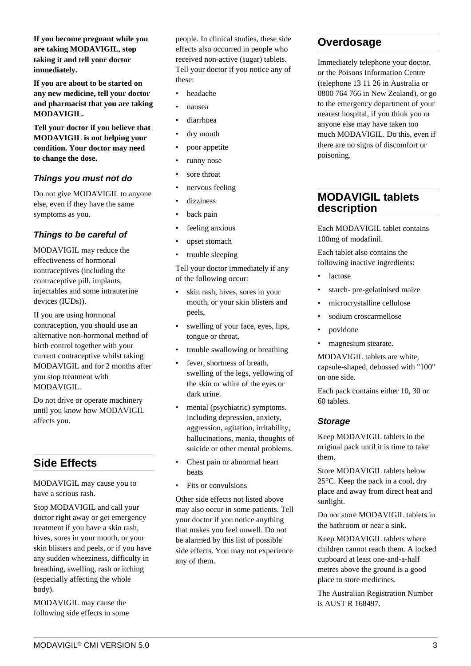**If you become pregnant while you are taking MODAVIGIL, stop taking it and tell your doctor immediately.**

**If you are about to be started on any new medicine, tell your doctor and pharmacist that you are taking MODAVIGIL.**

**Tell your doctor if you believe that MODAVIGIL is not helping your condition. Your doctor may need to change the dose.**

#### **Things you must not do**

Do not give MODAVIGIL to anyone else, even if they have the same symptoms as you.

### **Things to be careful of**

MODAVIGIL may reduce the effectiveness of hormonal contraceptives (including the contraceptive pill, implants, injectables and some intrauterine devices (IUDs)).

If you are using hormonal contraception, you should use an alternative non-hormonal method of birth control together with your current contraceptive whilst taking MODAVIGIL and for 2 months after you stop treatment with MODAVIGIL.

Do not drive or operate machinery until you know how MODAVIGIL affects you.

# **Side Effects**

MODAVIGIL may cause you to have a serious rash.

Stop MODAVIGIL and call your doctor right away or get emergency treatment if you have a skin rash, hives, sores in your mouth, or your skin blisters and peels, or if you have any sudden wheeziness, difficulty in breathing, swelling, rash or itching (especially affecting the whole body).

MODAVIGIL may cause the following side effects in some people. In clinical studies, these side effects also occurred in people who received non-active (sugar) tablets. Tell your doctor if you notice any of these:

- headache
- nausea
- diarrhoea
- dry mouth
- poor appetite
- runny nose
- sore throat
- nervous feeling
- dizziness
- back pain
- feeling anxious
- upset stomach
- trouble sleeping

Tell your doctor immediately if any of the following occur:

- skin rash, hives, sores in your mouth, or your skin blisters and peels,
- swelling of your face, eyes, lips, tongue or throat,
- trouble swallowing or breathing
- fever, shortness of breath, swelling of the legs, yellowing of the skin or white of the eyes or dark urine.
- mental (psychiatric) symptoms. including depression, anxiety, aggression, agitation, irritability, hallucinations, mania, thoughts of suicide or other mental problems.
- Chest pain or abnormal heart beats
- Fits or convulsions

Other side effects not listed above may also occur in some patients. Tell your doctor if you notice anything that makes you feel unwell. Do not be alarmed by this list of possible side effects. You may not experience any of them.

## **Overdosage**

Immediately telephone your doctor, or the Poisons Information Centre (telephone 13 11 26 in Australia or 0800 764 766 in New Zealand), or go to the emergency department of your nearest hospital, if you think you or anyone else may have taken too much MODAVIGIL. Do this, even if there are no signs of discomfort or poisoning.

## **MODAVIGIL tablets description**

Each MODAVIGIL tablet contains 100mg of modafinil.

Each tablet also contains the following inactive ingredients:

- lactose
- starch- pre-gelatinised maize
- microcrystalline cellulose
- sodium croscarmellose
- povidone
- magnesium stearate.

MODAVIGIL tablets are white, capsule-shaped, debossed with "100" on one side.

Each pack contains either 10, 30 or 60 tablets.

#### **Storage**

Keep MODAVIGIL tablets in the original pack until it is time to take them.

Store MODAVIGIL tablets below 25°C. Keep the pack in a cool, dry place and away from direct heat and sunlight.

Do not store MODAVIGIL tablets in the bathroom or near a sink.

Keep MODAVIGIL tablets where children cannot reach them. A locked cupboard at least one-and-a-half metres above the ground is a good place to store medicines.

The Australian Registration Number is AUST R 168497.